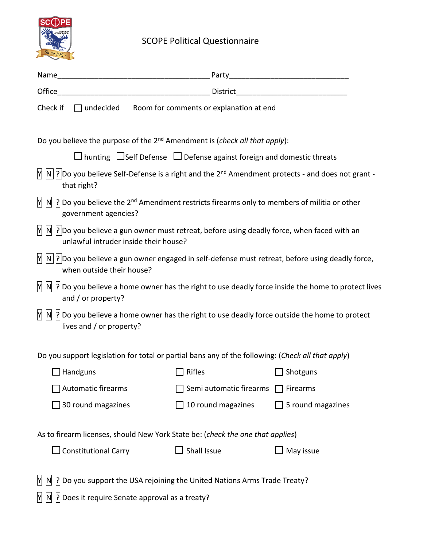

## SCOPE Political Questionnaire

| Name                                                                                              | the contract of the contract of the contract of the contract of the contract of the contract of the contract o                                                         |                                                                                        |                    |  |  |  |
|---------------------------------------------------------------------------------------------------|------------------------------------------------------------------------------------------------------------------------------------------------------------------------|----------------------------------------------------------------------------------------|--------------------|--|--|--|
| Office                                                                                            | <u> 1980 - Jan James James Barnett, amerikan bizko bat da bat da bat da bat da bat da bat da bat da bat da bat d</u>                                                   | District                                                                               |                    |  |  |  |
| Check if                                                                                          |                                                                                                                                                                        | $\Box$ undecided Room for comments or explanation at end                               |                    |  |  |  |
|                                                                                                   | Do you believe the purpose of the $2^{nd}$ Amendment is (check all that apply):                                                                                        |                                                                                        |                    |  |  |  |
|                                                                                                   |                                                                                                                                                                        | $\Box$ hunting $\Box$ Self Defense $\Box$ Defense against foreign and domestic threats |                    |  |  |  |
| Y                                                                                                 | $\ N\ $ ? Do you believe Self-Defense is a right and the 2 <sup>nd</sup> Amendment protects - and does not grant -<br>that right?                                      |                                                                                        |                    |  |  |  |
|                                                                                                   | $\mathbb{M}$ $\mathbb{N}$  ? Do you believe the 2 <sup>nd</sup> Amendment restricts firearms only to members of militia or other<br>government agencies?               |                                                                                        |                    |  |  |  |
|                                                                                                   | $\mathbb{N}$ $\mathbb{N}$ $\mathbb{R}$ Do you believe a gun owner must retreat, before using deadly force, when faced with an<br>unlawful intruder inside their house? |                                                                                        |                    |  |  |  |
|                                                                                                   | $\mathbb{M}$ $\mathbb{N}$   ? Do you believe a gun owner engaged in self-defense must retreat, before using deadly force,<br>when outside their house?                 |                                                                                        |                    |  |  |  |
|                                                                                                   | $\mathbb{M}$ $\mathbb{N}$  ? Do you believe a home owner has the right to use deadly force inside the home to protect lives<br>and / or property?                      |                                                                                        |                    |  |  |  |
|                                                                                                   | $\mathbb{M}$ $\mathbb{N}$  ? Do you believe a home owner has the right to use deadly force outside the home to protect<br>lives and / or property?                     |                                                                                        |                    |  |  |  |
| Do you support legislation for total or partial bans any of the following: (Check all that apply) |                                                                                                                                                                        |                                                                                        |                    |  |  |  |
|                                                                                                   | $\Box$ Handguns                                                                                                                                                        | $\exists$ Rifles                                                                       | $\exists$ Shotguns |  |  |  |
|                                                                                                   | <b>Automatic firearms</b>                                                                                                                                              | Semi automatic firearms                                                                | Firearms           |  |  |  |
|                                                                                                   | 30 round magazines                                                                                                                                                     | 10 round magazines                                                                     | 5 round magazines  |  |  |  |
|                                                                                                   | As to firearm licenses, should New York State be: (check the one that applies)                                                                                         |                                                                                        |                    |  |  |  |
|                                                                                                   | <b>Constitutional Carry</b>                                                                                                                                            | Shall Issue                                                                            | May issue          |  |  |  |
| M                                                                                                 | ? Do you support the USA rejoining the United Nations Arms Trade Treaty?                                                                                               |                                                                                        |                    |  |  |  |

 $\boxed{N}$   $\boxed{N}$   $\boxed{?}$  Does it require Senate approval as a treaty?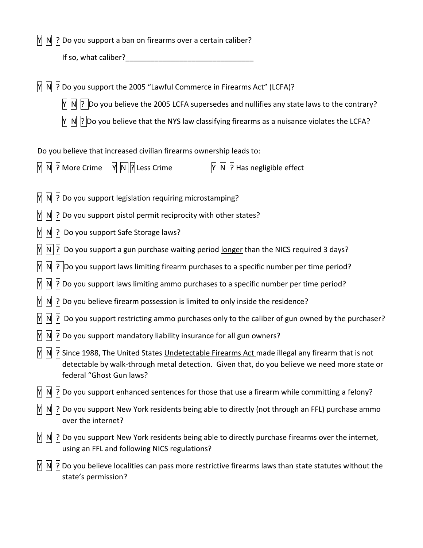$\overline{N}$   $\overline{N}$   $\overline{N}$  Do you support a ban on firearms over a certain caliber?

If so, what caliber?

 $\overline{N}$   $\overline{N}$   $\overline{N}$  Do you support the 2005 "Lawful Commerce in Firearms Act" (LCFA)?

 $\overline{N}$   $\overline{N}$   $\overline{P}$  Do you believe the 2005 LCFA supersedes and nullifies any state laws to the contrary?

 $\overline{N}$   $\overline{N}$   $\overline{P}$  Do you believe that the NYS law classifying firearms as a nuisance violates the LCFA?

Do you believe that increased civilian firearms ownership leads to:

 $\overline{M}$   $\overline{N}$   $\overline{N}$   $\overline{N}$   $\overline{N}$   $\overline{N}$   $\overline{N}$   $\overline{N}$   $\overline{N}$   $\overline{N}$   $\overline{N}$   $\overline{N}$   $\overline{N}$   $\overline{N}$   $\overline{N}$   $\overline{N}$   $\overline{N}$   $\overline{N}$   $\overline{N}$   $\overline{N}$   $\overline{N}$   $\overline{N}$   $\overline{N}$   $\overline{N}$   $\overline{$ 

 $\overline{N}$   $\overline{N}$   $\overline{P}$  Do you support legislation requiring microstamping?

 $\mathbb{N}$   $\mathbb{N}$   $\mathbb{R}$  Do you support pistol permit reciprocity with other states?

 $\mathbb{N}$   $\mathbb{N}$   $\mathbb{R}$  Do you support Safe Storage laws?

 $\mathcal{M}$   $\mathcal{N}$  | $\mathcal{N}$  Do you support a gun purchase waiting period longer than the NICS required 3 days?

 $\mathbb{N}$   $\mathbb{N}$   $\mathbb{R}$  Do you support laws limiting firearm purchases to a specific number per time period?

 $\frac{1}{2}$  Do you support laws limiting ammo purchases to a specific number per time period?

 $\overline{N}$   $\overline{N}$   $\overline{N}$  Do you believe firearm possession is limited to only inside the residence?

 $\mathbb{N}$   $\mathbb{N}$   $\mathbb{N}$  Do you support restricting ammo purchases only to the caliber of gun owned by the purchaser?

 $\mathcal{M}$   $\mathcal{N}$   $\mathcal{N}$  Do you support mandatory liability insurance for all gun owners?

 $\frac{1}{2}$  Since 1988, The United States Undetectable Firearms Act made illegal any firearm that is not detectable by walk-through [metal detection.](https://en.wikipedia.org/wiki/Metal_detector) Given that, do you believe we need more state or federal "Ghost Gun laws?

 $\overline{N}$   $\overline{N}$   $\overline{N}$  Do you support enhanced sentences for those that use a firearm while committing a felony?

 $\mathbb{M}$   $\mathbb{N}$   $\mathbb{N}$  Do you support New York residents being able to directly (not through an FFL) purchase ammo over the internet?

 $\mathbb{M}$   $\mathbb{N}$   $\mathbb{N}$  Do you support New York residents being able to directly purchase firearms over the internet, using an FFL and following NICS regulations?

 $\frac{1}{2}$  Do you believe localities can pass more restrictive firearms laws than state statutes without the state's permission?